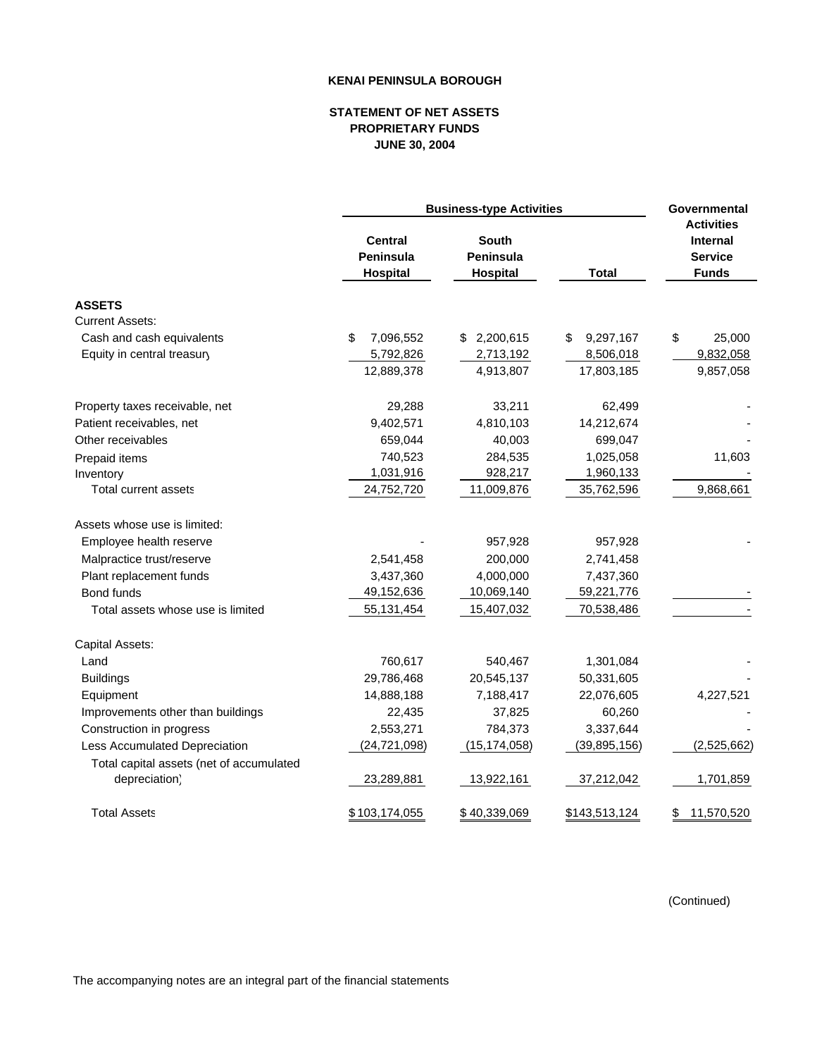## **KENAI PENINSULA BOROUGH**

## **STATEMENT OF NET ASSETS PROPRIETARY FUNDS JUNE 30, 2004**

|                                          | <b>Business-type Activities</b>                |                                              |                         | Governmental                                                           |
|------------------------------------------|------------------------------------------------|----------------------------------------------|-------------------------|------------------------------------------------------------------------|
|                                          | <b>Central</b><br><b>Peninsula</b><br>Hospital | <b>South</b><br><b>Peninsula</b><br>Hospital | <b>Total</b>            | <b>Activities</b><br><b>Internal</b><br><b>Service</b><br><b>Funds</b> |
| <b>ASSETS</b>                            |                                                |                                              |                         |                                                                        |
| <b>Current Assets:</b>                   |                                                |                                              |                         |                                                                        |
| Cash and cash equivalents                | \$<br>7,096,552                                | 2,200,615<br>\$.                             | 9,297,167<br>\$         | \$<br>25,000                                                           |
| Equity in central treasury               | 5,792,826<br>12,889,378                        | 2,713,192<br>4,913,807                       | 8,506,018<br>17,803,185 | 9,832,058<br>9,857,058                                                 |
| Property taxes receivable, net           | 29,288                                         | 33,211                                       | 62,499                  |                                                                        |
| Patient receivables, net                 | 9,402,571                                      | 4,810,103                                    | 14,212,674              |                                                                        |
| Other receivables                        | 659,044                                        | 40,003                                       | 699,047                 |                                                                        |
| Prepaid items                            | 740,523                                        | 284,535                                      | 1,025,058               | 11,603                                                                 |
| Inventory                                | 1,031,916                                      | 928,217                                      | 1,960,133               |                                                                        |
| <b>Total current assets</b>              | 24,752,720                                     | 11,009,876                                   | 35,762,596              | 9,868,661                                                              |
| Assets whose use is limited:             |                                                |                                              |                         |                                                                        |
| Employee health reserve                  |                                                | 957,928                                      | 957,928                 |                                                                        |
| Malpractice trust/reserve                | 2,541,458                                      | 200,000                                      | 2,741,458               |                                                                        |
| Plant replacement funds                  | 3,437,360                                      | 4,000,000                                    | 7,437,360               |                                                                        |
| Bond funds                               | 49,152,636                                     | 10,069,140                                   | 59,221,776              |                                                                        |
| Total assets whose use is limited        | 55, 131, 454                                   | 15,407,032                                   | 70,538,486              |                                                                        |
| Capital Assets:                          |                                                |                                              |                         |                                                                        |
| Land                                     | 760,617                                        | 540,467                                      | 1,301,084               |                                                                        |
| <b>Buildings</b>                         | 29,786,468                                     | 20,545,137                                   | 50,331,605              |                                                                        |
| Equipment                                | 14,888,188                                     | 7,188,417                                    | 22,076,605              | 4,227,521                                                              |
| Improvements other than buildings        | 22,435                                         | 37,825                                       | 60,260                  |                                                                        |
| Construction in progress                 | 2,553,271                                      | 784,373                                      | 3,337,644               |                                                                        |
| Less Accumulated Depreciation            | (24, 721, 098)                                 | (15, 174, 058)                               | (39, 895, 156)          | (2,525,662)                                                            |
| Total capital assets (net of accumulated |                                                |                                              |                         |                                                                        |
| depreciation)                            | 23,289,881                                     | 13,922,161                                   | 37,212,042              | 1,701,859                                                              |
| <b>Total Assets</b>                      | \$103,174,055                                  | \$40,339,069                                 | \$143,513,124           | 11,570,520<br>\$                                                       |

(Continued)